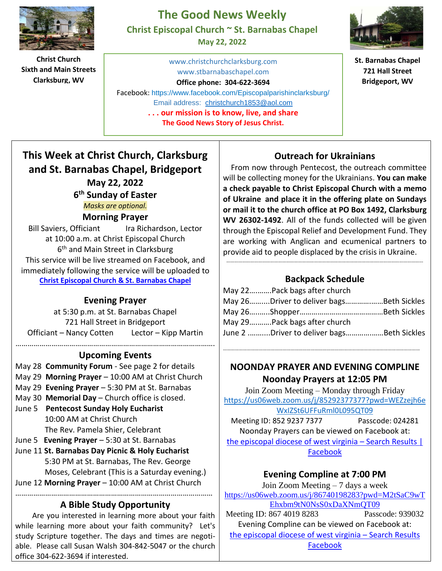

**Christ Church Sixth and Main Streets Clarksburg, WV**

## **The Good News Weekly Christ Episcopal Church ~ St. Barnabas Chapel**

**May 22, 2022**

[www.christchurchclarksburg.com](http://www.christchurchclarksburg.com/) [www.stbarnabaschapel.com](http://www.stbarnabaschapel.com/)

**Office phone: 304-622-3694** 

Email address: [christchurch1853@aol.com](mailto:christchurch1853@aol.com) Facebook: <https://www.facebook.com/Episcopalparishinclarksburg/>

**. . . our mission is to know, live, and share The Good News Story of Jesus Christ.**



**St. Barnabas Chapel 721 Hall Street Bridgeport, WV**

# **This Week at Christ Church, Clarksburg and St. Barnabas Chapel, Bridgeport May 22, 2022 6 th Sunday of Easter**

*Masks are optional.* 

#### **Morning Prayer**

Bill Saviers, Officiant Ira Richardson, Lector at 10:00 a.m. at Christ Episcopal Church 6<sup>th</sup> and Main Street in Clarksburg This service will be live streamed on Facebook, and immediately following the service will be uploaded to **Christ [Episcopal](https://www.facebook.com/groups/691849008329145/?__tn__=-UC-R) Church & St. Barnabas Chapel**

#### **Evening Prayer**

at 5:30 p.m. at St. Barnabas Chapel 721 Hall Street in Bridgeport Officiant – Nancy Cotten Lector – Kipp Martin

#### ………………………………………………………………………………………. **Upcoming Events**

- May 28 **Community Forum**  See page 2 for details
- May 29 **Morning Prayer** 10:00 AM at Christ Church
- May 29 **Evening Prayer** 5:30 PM at St. Barnabas
- May 30 **Memorial Day** Church office is closed.
- June 5 **Pentecost Sunday Holy Eucharist** 10:00 AM at Christ Church The Rev. Pamela Shier, Celebrant
- June 5 **Evening Prayer** 5:30 at St. Barnabas
- June 11 **St. Barnabas Day Picnic & Holy Eucharist** 5:30 PM at St. Barnabas, The Rev. George Moses, Celebrant (This is a Saturday evening.)

#### June 12 **Morning Prayer** – 10:00 AM at Christ Church ………………………………………………………………………………………

### **A Bible Study Opportunity**

 Are you interested in learning more about your faith while learning more about your faith community? Let's study Scripture together. The days and times are negotiable. Please call Susan Walsh 304-842-5047 or the church office 304-622-3694 if interested.

#### **Outreach for Ukrainians**

 From now through Pentecost, the outreach committee will be collecting money for the Ukrainians. **You can make a check payable to Christ Episcopal Church with a memo of Ukraine and place it in the offering plate on Sundays or mail it to the church office at PO Box 1492, Clarksburg WV 26302-1492**. All of the funds collected will be given through the Episcopal Relief and Development Fund. They are working with Anglican and ecumenical partners to provide aid to people displaced by the crisis in Ukraine.

### **Backpack Schedule**

…………………………………………………………………………………………………….……………………………

| May 22 Pack bags after church             |  |
|-------------------------------------------|--|
| May 26Driver to deliver bagsBeth Sickles  |  |
|                                           |  |
| May 29Pack bags after church              |  |
| June 2 Driver to deliver bagsBeth Sickles |  |

#### **NOONDAY PRAYER AND EVENING COMPLINE Noonday Prayers at 12:05 PM**

……………………………………………………………………………….…………………………………………………

Join Zoom Meeting – Monday through Friday [https://us06web.zoom.us/j/85292377377?pwd=WEZzejh6e](https://us06web.zoom.us/j/85292377377?pwd=WEZzejh6eWxIZSt6UFFuRml0L095QT09) [WxIZSt6UFFuRml0L095QT09](https://us06web.zoom.us/j/85292377377?pwd=WEZzejh6eWxIZSt6UFFuRml0L095QT09) 

Meeting ID: 852 9237 7377 Passcode: 024281 Noonday Prayers can be viewed on Facebook at: the episcopal diocese of west virginia – Search Results |

Facebook

#### **Evening Compline at 7:00 PM**

Join Zoom Meeting – 7 days a week [https://us06web.zoom.us/j/86740198283?pwd=M2tSaC9wT](https://us06web.zoom.us/j/86740198283?pwd=M2tSaC9wTEhxbm9tN0NsS0xDaXNmQT09) [Ehxbm9tN0NsS0xDaXNmQT09](https://us06web.zoom.us/j/86740198283?pwd=M2tSaC9wTEhxbm9tN0NsS0xDaXNmQT09) 

Meeting ID: 867 4019 8283 Passcode: 939032 Evening Compline can be viewed on Facebook at: [the episcopal diocese of west virginia](https://www.facebook.com/search/top?q=the%20episcopal%20diocese%20of%20west%20virginia) – Search Results

[Facebook](https://www.facebook.com/search/top?q=the%20episcopal%20diocese%20of%20west%20virginia)